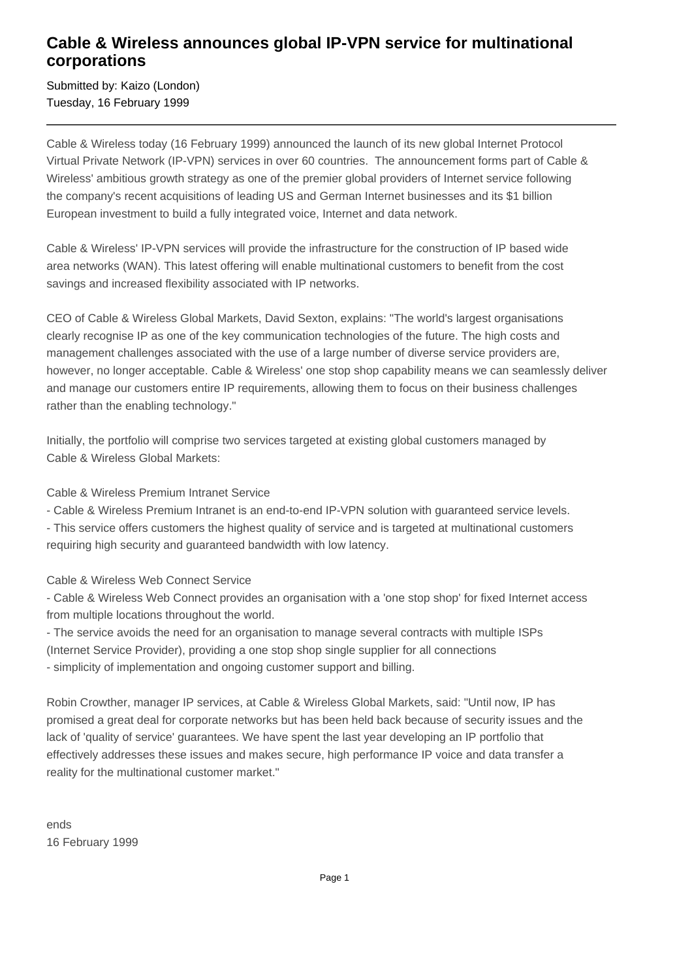## **Cable & Wireless announces global IP-VPN service for multinational corporations**

Submitted by: Kaizo (London) Tuesday, 16 February 1999

Cable & Wireless today (16 February 1999) announced the launch of its new global Internet Protocol Virtual Private Network (IP-VPN) services in over 60 countries. The announcement forms part of Cable & Wireless' ambitious growth strategy as one of the premier global providers of Internet service following the company's recent acquisitions of leading US and German Internet businesses and its \$1 billion European investment to build a fully integrated voice, Internet and data network.

Cable & Wireless' IP-VPN services will provide the infrastructure for the construction of IP based wide area networks (WAN). This latest offering will enable multinational customers to benefit from the cost savings and increased flexibility associated with IP networks.

CEO of Cable & Wireless Global Markets, David Sexton, explains: "The world's largest organisations clearly recognise IP as one of the key communication technologies of the future. The high costs and management challenges associated with the use of a large number of diverse service providers are, however, no longer acceptable. Cable & Wireless' one stop shop capability means we can seamlessly deliver and manage our customers entire IP requirements, allowing them to focus on their business challenges rather than the enabling technology."

Initially, the portfolio will comprise two services targeted at existing global customers managed by Cable & Wireless Global Markets:

Cable & Wireless Premium Intranet Service

- Cable & Wireless Premium Intranet is an end-to-end IP-VPN solution with guaranteed service levels.

- This service offers customers the highest quality of service and is targeted at multinational customers requiring high security and guaranteed bandwidth with low latency.

Cable & Wireless Web Connect Service

- Cable & Wireless Web Connect provides an organisation with a 'one stop shop' for fixed Internet access from multiple locations throughout the world.

- The service avoids the need for an organisation to manage several contracts with multiple ISPs (Internet Service Provider), providing a one stop shop single supplier for all connections - simplicity of implementation and ongoing customer support and billing.

Robin Crowther, manager IP services, at Cable & Wireless Global Markets, said: "Until now, IP has promised a great deal for corporate networks but has been held back because of security issues and the lack of 'quality of service' guarantees. We have spent the last year developing an IP portfolio that effectively addresses these issues and makes secure, high performance IP voice and data transfer a reality for the multinational customer market."

ends 16 February 1999